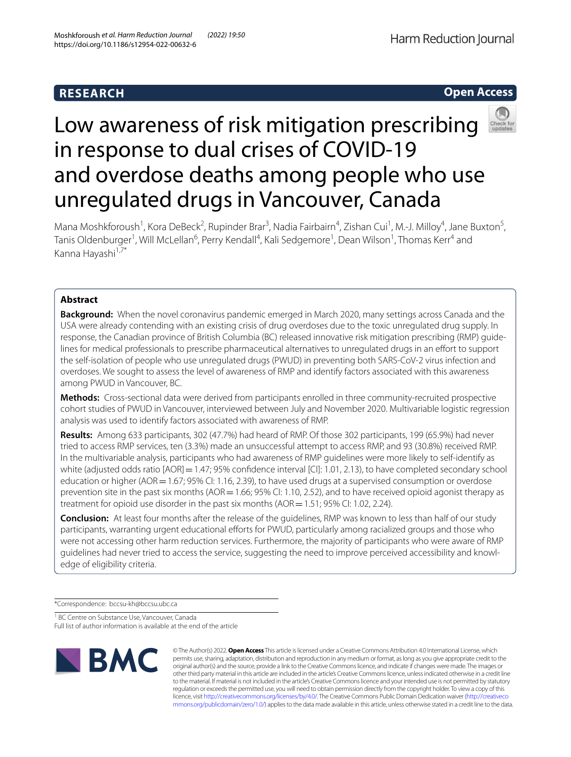# **Open Access**



# Low awareness of risk mitigation prescribing in response to dual crises of COVID-19 and overdose deaths among people who use unregulated drugs in Vancouver, Canada

Mana Moshkforoush<sup>1</sup>, Kora DeBeck<sup>2</sup>, Rupinder Brar<sup>3</sup>, Nadia Fairbairn<sup>4</sup>, Zishan Cui<sup>1</sup>, M.-J. Milloy<sup>4</sup>, Jane Buxton<sup>5</sup>, Tanis Oldenburger<sup>1</sup>, Will McLellan<sup>6</sup>, Perry Kendall<sup>4</sup>, Kali Sedgemore<sup>1</sup>, Dean Wilson<sup>1</sup>, Thomas Kerr<sup>4</sup> and Kanna Hayashi<sup>1,7\*</sup>

## **Abstract**

**Background:** When the novel coronavirus pandemic emerged in March 2020, many settings across Canada and the USA were already contending with an existing crisis of drug overdoses due to the toxic unregulated drug supply. In response, the Canadian province of British Columbia (BC) released innovative risk mitigation prescribing (RMP) guidelines for medical professionals to prescribe pharmaceutical alternatives to unregulated drugs in an efort to support the self-isolation of people who use unregulated drugs (PWUD) in preventing both SARS-CoV-2 virus infection and overdoses. We sought to assess the level of awareness of RMP and identify factors associated with this awareness among PWUD in Vancouver, BC.

**Methods:** Cross-sectional data were derived from participants enrolled in three community-recruited prospective cohort studies of PWUD in Vancouver, interviewed between July and November 2020. Multivariable logistic regression analysis was used to identify factors associated with awareness of RMP.

**Results:** Among 633 participants, 302 (47.7%) had heard of RMP. Of those 302 participants, 199 (65.9%) had never tried to access RMP services, ten (3.3%) made an unsuccessful attempt to access RMP, and 93 (30.8%) received RMP. In the multivariable analysis, participants who had awareness of RMP guidelines were more likely to self-identify as white (adjusted odds ratio [AOR] = 1.47; 95% confidence interval [CI]: 1.01, 2.13), to have completed secondary school education or higher (AOR = 1.67; 95% CI: 1.16, 2.39), to have used drugs at a supervised consumption or overdose prevention site in the past six months (AOR = 1.66; 95% CI: 1.10, 2.52), and to have received opioid agonist therapy as treatment for opioid use disorder in the past six months (AOR=1.51; 95% CI: 1.02, 2.24).

**Conclusion:** At least four months after the release of the guidelines, RMP was known to less than half of our study participants, warranting urgent educational efforts for PWUD, particularly among racialized groups and those who were not accessing other harm reduction services. Furthermore, the majority of participants who were aware of RMP guidelines had never tried to access the service, suggesting the need to improve perceived accessibility and knowledge of eligibility criteria.

\*Correspondence: bccsu-kh@bccsu.ubc.ca

<sup>1</sup> BC Centre on Substance Use, Vancouver, Canada

Full list of author information is available at the end of the article



© The Author(s) 2022. **Open Access** This article is licensed under a Creative Commons Attribution 4.0 International License, which permits use, sharing, adaptation, distribution and reproduction in any medium or format, as long as you give appropriate credit to the original author(s) and the source, provide a link to the Creative Commons licence, and indicate if changes were made. The images or other third party material in this article are included in the article's Creative Commons licence, unless indicated otherwise in a credit line to the material. If material is not included in the article's Creative Commons licence and your intended use is not permitted by statutory regulation or exceeds the permitted use, you will need to obtain permission directly from the copyright holder. To view a copy of this licence, visit [http://creativecommons.org/licenses/by/4.0/.](http://creativecommons.org/licenses/by/4.0/) The Creative Commons Public Domain Dedication waiver ([http://creativeco](http://creativecommons.org/publicdomain/zero/1.0/) [mmons.org/publicdomain/zero/1.0/](http://creativecommons.org/publicdomain/zero/1.0/)) applies to the data made available in this article, unless otherwise stated in a credit line to the data.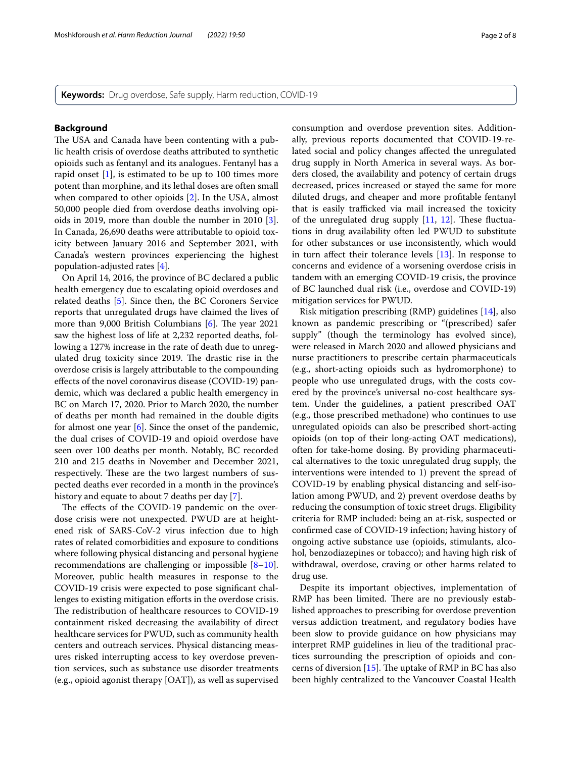**Keywords:** Drug overdose, Safe supply, Harm reduction, COVID-19

### **Background**

The USA and Canada have been contenting with a public health crisis of overdose deaths attributed to synthetic opioids such as fentanyl and its analogues. Fentanyl has a rapid onset [[1\]](#page-7-0), is estimated to be up to 100 times more potent than morphine, and its lethal doses are often small when compared to other opioids [[2\]](#page-7-1). In the USA, almost 50,000 people died from overdose deaths involving opioids in 2019, more than double the number in 2010 [\[3](#page-7-2)]. In Canada, 26,690 deaths were attributable to opioid toxicity between January 2016 and September 2021, with Canada's western provinces experiencing the highest population-adjusted rates [[4\]](#page-7-3).

On April 14, 2016, the province of BC declared a public health emergency due to escalating opioid overdoses and related deaths [[5\]](#page-7-4). Since then, the BC Coroners Service reports that unregulated drugs have claimed the lives of more than 9,000 British Columbians  $[6]$ . The year 2021 saw the highest loss of life at 2,232 reported deaths, following a 127% increase in the rate of death due to unregulated drug toxicity since 2019. The drastic rise in the overdose crisis is largely attributable to the compounding efects of the novel coronavirus disease (COVID-19) pandemic, which was declared a public health emergency in BC on March 17, 2020. Prior to March 2020, the number of deaths per month had remained in the double digits for almost one year  $[6]$  $[6]$  $[6]$ . Since the onset of the pandemic, the dual crises of COVID-19 and opioid overdose have seen over 100 deaths per month. Notably, BC recorded 210 and 215 deaths in November and December 2021, respectively. These are the two largest numbers of suspected deaths ever recorded in a month in the province's history and equate to about 7 deaths per day [[7\]](#page-7-6).

The effects of the COVID-19 pandemic on the overdose crisis were not unexpected. PWUD are at heightened risk of SARS-CoV-2 virus infection due to high rates of related comorbidities and exposure to conditions where following physical distancing and personal hygiene recommendations are challenging or impossible  $[8-10]$  $[8-10]$ . Moreover, public health measures in response to the COVID-19 crisis were expected to pose signifcant challenges to existing mitigation efforts in the overdose crisis. The redistribution of healthcare resources to COVID-19 containment risked decreasing the availability of direct healthcare services for PWUD, such as community health centers and outreach services. Physical distancing measures risked interrupting access to key overdose prevention services, such as substance use disorder treatments (e.g., opioid agonist therapy [OAT]), as well as supervised consumption and overdose prevention sites. Additionally, previous reports documented that COVID-19-related social and policy changes afected the unregulated drug supply in North America in several ways. As borders closed, the availability and potency of certain drugs decreased, prices increased or stayed the same for more diluted drugs, and cheaper and more proftable fentanyl that is easily trafficked via mail increased the toxicity of the unregulated drug supply  $[11, 12]$  $[11, 12]$  $[11, 12]$  $[11, 12]$ . These fluctuations in drug availability often led PWUD to substitute for other substances or use inconsistently, which would in turn afect their tolerance levels [[13](#page-7-11)]. In response to concerns and evidence of a worsening overdose crisis in tandem with an emerging COVID-19 crisis, the province of BC launched dual risk (i.e., overdose and COVID-19) mitigation services for PWUD.

Risk mitigation prescribing (RMP) guidelines [\[14](#page-7-12)], also known as pandemic prescribing or "(prescribed) safer supply" (though the terminology has evolved since), were released in March 2020 and allowed physicians and nurse practitioners to prescribe certain pharmaceuticals (e.g., short-acting opioids such as hydromorphone) to people who use unregulated drugs, with the costs covered by the province's universal no-cost healthcare system. Under the guidelines, a patient prescribed OAT (e.g., those prescribed methadone) who continues to use unregulated opioids can also be prescribed short-acting opioids (on top of their long-acting OAT medications), often for take-home dosing. By providing pharmaceutical alternatives to the toxic unregulated drug supply, the interventions were intended to 1) prevent the spread of COVID-19 by enabling physical distancing and self-isolation among PWUD, and 2) prevent overdose deaths by reducing the consumption of toxic street drugs. Eligibility criteria for RMP included: being an at-risk, suspected or confrmed case of COVID-19 infection; having history of ongoing active substance use (opioids, stimulants, alcohol, benzodiazepines or tobacco); and having high risk of withdrawal, overdose, craving or other harms related to drug use.

Despite its important objectives, implementation of RMP has been limited. There are no previously established approaches to prescribing for overdose prevention versus addiction treatment, and regulatory bodies have been slow to provide guidance on how physicians may interpret RMP guidelines in lieu of the traditional practices surrounding the prescription of opioids and concerns of diversion  $[15]$  $[15]$ . The uptake of RMP in BC has also been highly centralized to the Vancouver Coastal Health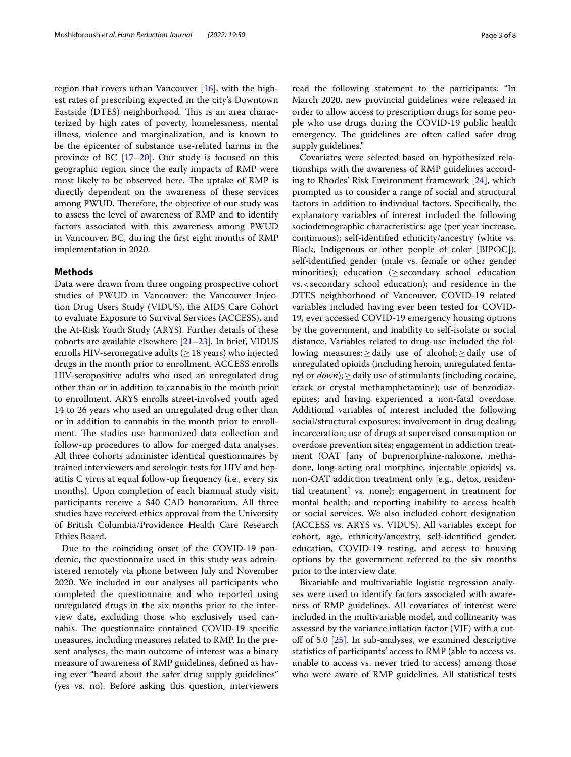region that covers urban Vancouver  $[16]$  $[16]$ , with the highest rates of prescribing expected in the city's Downtown Eastside (DTES) neighborhood. This is an area characterized by high rates of poverty, homelessness, mental illness, violence and marginalization, and is known to be the epicenter of substance use-related harms in the province of BC  $[17–20]$  $[17–20]$  $[17–20]$ . Our study is focused on this geographic region since the early impacts of RMP were most likely to be observed here. The uptake of RMP is directly dependent on the awareness of these services among PWUD. Therefore, the objective of our study was to assess the level of awareness of RMP and to identify factors associated with this awareness among PWUD in Vancouver, BC, during the frst eight months of RMP implementation in 2020.

## **Methods**

Data were drawn from three ongoing prospective cohort studies of PWUD in Vancouver: the Vancouver Injection Drug Users Study (VIDUS), the AIDS Care Cohort to evaluate Exposure to Survival Services (ACCESS), and the At-Risk Youth Study (ARYS). Further details of these cohorts are available elsewhere [\[21–](#page-7-17)[23\]](#page-7-18). In brief, VIDUS enrolls HIV-seronegative adults ( $\geq$  18 years) who injected drugs in the month prior to enrollment. ACCESS enrolls HIV-seropositive adults who used an unregulated drug other than or in addition to cannabis in the month prior to enrollment. ARYS enrolls street-involved youth aged 14 to 26 years who used an unregulated drug other than or in addition to cannabis in the month prior to enrollment. The studies use harmonized data collection and follow-up procedures to allow for merged data analyses. All three cohorts administer identical questionnaires by trained interviewers and serologic tests for HIV and hepatitis C virus at equal follow-up frequency (i.e., every six months). Upon completion of each biannual study visit, participants receive a \$40 CAD honorarium. All three studies have received ethics approval from the University of British Columbia/Providence Health Care Research Ethics Board.

Due to the coinciding onset of the COVID-19 pandemic, the questionnaire used in this study was administered remotely via phone between July and November 2020. We included in our analyses all participants who completed the questionnaire and who reported using unregulated drugs in the six months prior to the interview date, excluding those who exclusively used cannabis. The questionnaire contained COVID-19 specific measures, including measures related to RMP. In the present analyses, the main outcome of interest was a binary measure of awareness of RMP guidelines, defned as having ever "heard about the safer drug supply guidelines" (yes vs. no). Before asking this question, interviewers read the following statement to the participants: "In March 2020, new provincial guidelines were released in order to allow access to prescription drugs for some people who use drugs during the COVID-19 public health emergency. The guidelines are often called safer drug supply guidelines."

Covariates were selected based on hypothesized relationships with the awareness of RMP guidelines according to Rhodes' Risk Environment framework [[24](#page-7-19)], which prompted us to consider a range of social and structural factors in addition to individual factors. Specifcally, the explanatory variables of interest included the following sociodemographic characteristics: age (per year increase, continuous); self-identifed ethnicity/ancestry (white vs. Black, Indigenous or other people of color [BIPOC]); self-identifed gender (male vs. female or other gender minorities); education ( $\ge$  secondary school education vs.<secondary school education); and residence in the DTES neighborhood of Vancouver. COVID-19 related variables included having ever been tested for COVID-19, ever accessed COVID-19 emergency housing options by the government, and inability to self-isolate or social distance. Variables related to drug-use included the following measures:≥daily use of alcohol;≥daily use of unregulated opioids (including heroin, unregulated fentanyl or *down*);≥daily use of stimulants (including cocaine, crack or crystal methamphetamine); use of benzodiazepines; and having experienced a non-fatal overdose. Additional variables of interest included the following social/structural exposures: involvement in drug dealing; incarceration; use of drugs at supervised consumption or overdose prevention sites; engagement in addiction treatment (OAT [any of buprenorphine-naloxone, methadone, long-acting oral morphine, injectable opioids] vs. non-OAT addiction treatment only [e.g., detox, residential treatment] vs. none); engagement in treatment for mental health; and reporting inability to access health or social services. We also included cohort designation (ACCESS vs. ARYS vs. VIDUS). All variables except for cohort, age, ethnicity/ancestry, self-identifed gender, education, COVID-19 testing, and access to housing options by the government referred to the six months prior to the interview date.

Bivariable and multivariable logistic regression analyses were used to identify factors associated with awareness of RMP guidelines. All covariates of interest were included in the multivariable model, and collinearity was assessed by the variance infation factor (VIF) with a cutoff of 5.0  $[25]$  $[25]$  $[25]$ . In sub-analyses, we examined descriptive statistics of participants' access to RMP (able to access vs. unable to access vs. never tried to access) among those who were aware of RMP guidelines. All statistical tests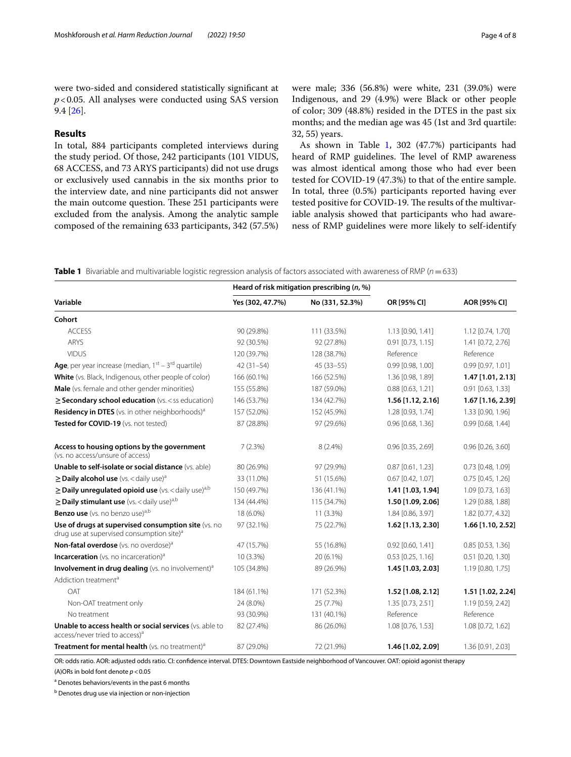were two-sided and considered statistically signifcant at *p*<0.05. All analyses were conducted using SAS version 9.4 [\[26](#page-7-21)].

## **Results**

In total, 884 participants completed interviews during the study period. Of those, 242 participants (101 VIDUS, 68 ACCESS, and 73 ARYS participants) did not use drugs or exclusively used cannabis in the six months prior to the interview date, and nine participants did not answer the main outcome question. These 251 participants were excluded from the analysis. Among the analytic sample composed of the remaining 633 participants, 342 (57.5%) were male; 336 (56.8%) were white, 231 (39.0%) were Indigenous, and 29 (4.9%) were Black or other people of color; 309 (48.8%) resided in the DTES in the past six months; and the median age was 45 (1st and 3rd quartile: 32, 55) years.

As shown in Table [1](#page-3-0), 302 (47.7%) participants had heard of RMP guidelines. The level of RMP awareness was almost identical among those who had ever been tested for COVID-19 (47.3%) to that of the entire sample. In total, three (0.5%) participants reported having ever tested positive for COVID-19. The results of the multivariable analysis showed that participants who had awareness of RMP guidelines were more likely to self-identify

<span id="page-3-0"></span>**Table 1** Bivariable and multivariable logistic regression analysis of factors associated with awareness of RMP (*n*=633)

| Variable                                                                                                     | Heard of risk mitigation prescribing $(n, %)$ |                 |                       |                       |
|--------------------------------------------------------------------------------------------------------------|-----------------------------------------------|-----------------|-----------------------|-----------------------|
|                                                                                                              | Yes (302, 47.7%)                              | No (331, 52.3%) | OR [95% CI]           | AOR [95% CI]          |
| Cohort                                                                                                       |                                               |                 |                       |                       |
| <b>ACCESS</b>                                                                                                | 90 (29.8%)                                    | 111 (33.5%)     | 1.13 [0.90, 1.41]     | 1.12 [0.74, 1.70]     |
| <b>ARYS</b>                                                                                                  | 92 (30.5%)                                    | 92 (27.8%)      | $0.91$ $[0.73, 1.15]$ | 1.41 [0.72, 2.76]     |
| <b>VIDUS</b>                                                                                                 | 120 (39.7%)                                   | 128 (38.7%)     | Reference             | Reference             |
| <b>Age</b> , per year increase (median, $1^{st}$ – $3^{rd}$ quartile)                                        | $42(31-54)$                                   | $45(33 - 55)$   | 0.99 [0.98, 1.00]     | 0.99 [0.97, 1.01]     |
| White (vs. Black, Indigenous, other people of color)                                                         | 166 (60.1%)                                   | 166 (52.5%)     | 1.36 [0.98, 1.89]     | 1.47 [1.01, 2.13]     |
| Male (vs. female and other gender minorities)                                                                | 155 (55.8%)                                   | 187 (59.0%)     | 0.88 [0.63, 1.21]     | $0.91$ $[0.63, 1.33]$ |
| $\geq$ Secondary school education (vs. < ss education)                                                       | 146 (53.7%)                                   | 134 (42.7%)     | $1.56$ [1.12, 2.16]   | 1.67 [1.16, 2.39]     |
| Residency in DTES (vs. in other neighborhoods) <sup>a</sup>                                                  | 157 (52.0%)                                   | 152 (45.9%)     | 1.28 [0.93, 1.74]     | 1.33 [0.90, 1.96]     |
| Tested for COVID-19 (vs. not tested)                                                                         | 87 (28.8%)                                    | 97 (29.6%)      | 0.96 [0.68, 1.36]     | 0.99 [0.68, 1.44]     |
| Access to housing options by the government<br>(vs. no access/unsure of access)                              | 7(2.3%)                                       | 8 (2.4%)        | 0.96 [0.35, 2.69]     | $0.96$ [0.26, 3.60]   |
| Unable to self-isolate or social distance (vs. able)                                                         | 80 (26.9%)                                    | 97 (29.9%)      | $0.87$ [0.61, 1.23]   | 0.73 [0.48, 1.09]     |
| $\geq$ Daily alcohol use (vs. < daily use) <sup>a</sup>                                                      | 33 (11.0%)                                    | 51 (15.6%)      | $0.67$ [0.42, 1.07]   | 0.75 [0.45, 1.26]     |
| $\geq$ Daily unregulated opioid use (vs. < daily use) <sup>a,b</sup>                                         | 150 (49.7%)                                   | 136 (41.1%)     | 1.41 [1.03, 1.94]     | 1.09 [0.73, 1.63]     |
| $\geq$ Daily stimulant use (vs. < daily use) <sup>a,b</sup>                                                  | 134 (44.4%)                                   | 115 (34.7%)     | 1.50 [1.09, 2.06]     | 1.29 [0.88, 1.88]     |
| <b>Benzo use</b> (vs. no benzo use) <sup>a,b</sup>                                                           | 18 (6.0%)                                     | 11 (3.3%)       | 1.84 [0.86, 3.97]     | 1.82 [0.77, 4.32]     |
| Use of drugs at supervised consumption site (vs. no<br>drug use at supervised consumption site) <sup>a</sup> | 97 (32.1%)                                    | 75 (22.7%)      | 1.62 [1.13, 2.30]     | 1.66 [1.10, 2.52]     |
| Non-fatal overdose (vs. no overdose) <sup>a</sup>                                                            | 47 (15.7%)                                    | 55 (16.8%)      | 0.92 [0.60, 1.41]     | $0.85$ [0.53, 1.36]   |
| <b>Incarceration</b> (vs. no incarceration) <sup>a</sup>                                                     | 10 (3.3%)                                     | 20 (6.1%)       | $0.53$ [0.25, 1.16]   | 0.51 [0.20, 1.30]     |
| Involvement in drug dealing (vs. no involvement) <sup>a</sup>                                                | 105 (34.8%)                                   | 89 (26.9%)      | 1.45 [1.03, 2.03]     | 1.19 [0.80, 1.75]     |
| Addiction treatment <sup>a</sup>                                                                             |                                               |                 |                       |                       |
| OAT                                                                                                          | 184 (61.1%)                                   | 171 (52.3%)     | 1.52 [1.08, 2.12]     | 1.51 [1.02, 2.24]     |
| Non-OAT treatment only                                                                                       | 24 (8.0%)                                     | 25 (7.7%)       | 1.35 [0.73, 2.51]     | 1.19 [0.59, 2.42]     |
| No treatment                                                                                                 | 93 (30.9%)                                    | 131 (40.1%)     | Reference             | Reference             |
| Unable to access health or social services (vs. able to<br>access/never tried to access) <sup>a</sup>        | 82 (27.4%)                                    | 86 (26.0%)      | 1.08 [0.76, 1.53]     | 1.08 [0.72, 1.62]     |
| Treatment for mental health (vs. no treatment) <sup>a</sup>                                                  | 87 (29.0%)                                    | 72 (21.9%)      | 1.46 [1.02, 2.09]     | 1.36 [0.91, 2.03]     |

OR: odds ratio. AOR: adjusted odds ratio. CI: confdence interval. DTES: Downtown Eastside neighborhood of Vancouver. OAT: opioid agonist therapy (A)ORs in bold font denote *p*<0.05

<sup>a</sup> Denotes behaviors/events in the past 6 months

<sup>b</sup> Denotes drug use via injection or non-injection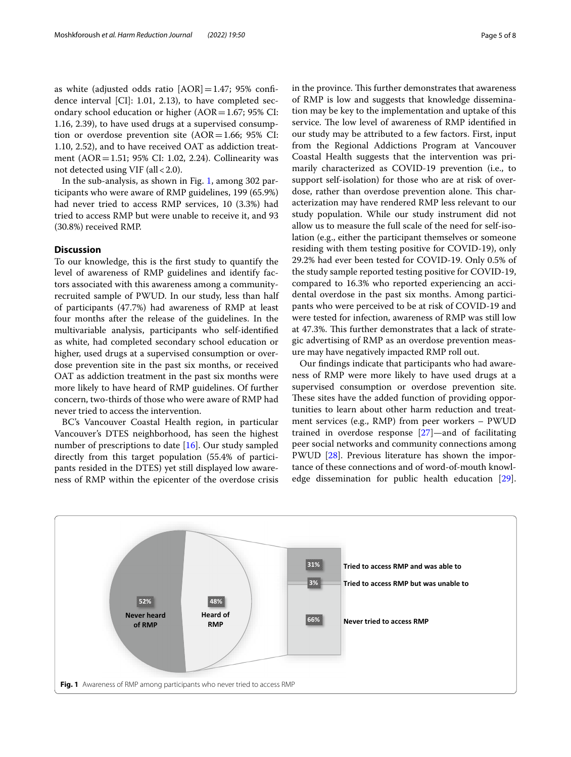as white (adjusted odds ratio  $[AOR] = 1.47$ ; 95% confidence interval [CI]: 1.01, 2.13), to have completed secondary school education or higher  $(AOR=1.67; 95\% \text{ CI:})$ 1.16, 2.39), to have used drugs at a supervised consumption or overdose prevention site  $(AOR=1.66; 95\% \text{ CI:})$ 1.10, 2.52), and to have received OAT as addiction treatment (AOR=1.51; 95% CI: 1.02, 2.24). Collinearity was not detected using VIF (all < 2.0).

In the sub-analysis, as shown in Fig. [1,](#page-4-0) among 302 participants who were aware of RMP guidelines, 199 (65.9%) had never tried to access RMP services, 10 (3.3%) had tried to access RMP but were unable to receive it, and 93 (30.8%) received RMP.

## **Discussion**

To our knowledge, this is the frst study to quantify the level of awareness of RMP guidelines and identify factors associated with this awareness among a communityrecruited sample of PWUD. In our study, less than half of participants (47.7%) had awareness of RMP at least four months after the release of the guidelines. In the multivariable analysis, participants who self-identifed as white, had completed secondary school education or higher, used drugs at a supervised consumption or overdose prevention site in the past six months, or received OAT as addiction treatment in the past six months were more likely to have heard of RMP guidelines. Of further concern, two-thirds of those who were aware of RMP had never tried to access the intervention.

BC's Vancouver Coastal Health region, in particular Vancouver's DTES neighborhood, has seen the highest number of prescriptions to date [[16\]](#page-7-14). Our study sampled directly from this target population (55.4% of participants resided in the DTES) yet still displayed low awareness of RMP within the epicenter of the overdose crisis

in the province. This further demonstrates that awareness of RMP is low and suggests that knowledge dissemination may be key to the implementation and uptake of this service. The low level of awareness of RMP identified in our study may be attributed to a few factors. First, input from the Regional Addictions Program at Vancouver Coastal Health suggests that the intervention was primarily characterized as COVID-19 prevention (i.e., to support self-isolation) for those who are at risk of overdose, rather than overdose prevention alone. This characterization may have rendered RMP less relevant to our study population. While our study instrument did not allow us to measure the full scale of the need for self-isolation (e.g., either the participant themselves or someone residing with them testing positive for COVID-19), only 29.2% had ever been tested for COVID-19. Only 0.5% of the study sample reported testing positive for COVID-19, compared to 16.3% who reported experiencing an accidental overdose in the past six months. Among participants who were perceived to be at risk of COVID-19 and were tested for infection, awareness of RMP was still low at 47.3%. This further demonstrates that a lack of strategic advertising of RMP as an overdose prevention measure may have negatively impacted RMP roll out.

Our fndings indicate that participants who had awareness of RMP were more likely to have used drugs at a supervised consumption or overdose prevention site. These sites have the added function of providing opportunities to learn about other harm reduction and treatment services (e.g., RMP) from peer workers – PWUD trained in overdose response [\[27](#page-7-22)]—and of facilitating peer social networks and community connections among PWUD [\[28](#page-7-23)]. Previous literature has shown the importance of these connections and of word-of-mouth knowledge dissemination for public health education [\[29](#page-7-24)].

<span id="page-4-0"></span>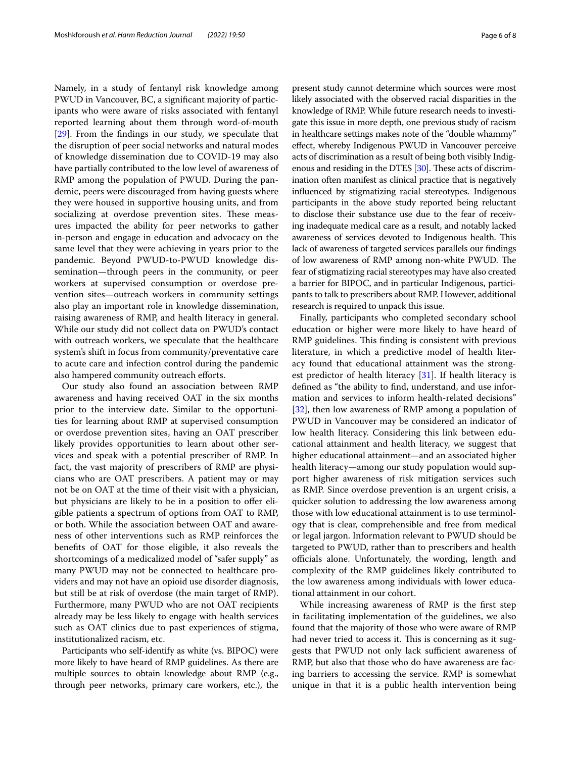Namely, in a study of fentanyl risk knowledge among PWUD in Vancouver, BC, a signifcant majority of participants who were aware of risks associated with fentanyl reported learning about them through word-of-mouth [[29\]](#page-7-24). From the fndings in our study, we speculate that the disruption of peer social networks and natural modes of knowledge dissemination due to COVID-19 may also have partially contributed to the low level of awareness of RMP among the population of PWUD. During the pandemic, peers were discouraged from having guests where they were housed in supportive housing units, and from socializing at overdose prevention sites. These measures impacted the ability for peer networks to gather in-person and engage in education and advocacy on the same level that they were achieving in years prior to the pandemic. Beyond PWUD-to-PWUD knowledge dissemination—through peers in the community, or peer workers at supervised consumption or overdose prevention sites—outreach workers in community settings also play an important role in knowledge dissemination, raising awareness of RMP, and health literacy in general. While our study did not collect data on PWUD's contact with outreach workers, we speculate that the healthcare system's shift in focus from community/preventative care to acute care and infection control during the pandemic also hampered community outreach efforts.

Our study also found an association between RMP awareness and having received OAT in the six months prior to the interview date. Similar to the opportunities for learning about RMP at supervised consumption or overdose prevention sites, having an OAT prescriber likely provides opportunities to learn about other services and speak with a potential prescriber of RMP. In fact, the vast majority of prescribers of RMP are physicians who are OAT prescribers. A patient may or may not be on OAT at the time of their visit with a physician, but physicians are likely to be in a position to offer eligible patients a spectrum of options from OAT to RMP, or both. While the association between OAT and awareness of other interventions such as RMP reinforces the benefts of OAT for those eligible, it also reveals the shortcomings of a medicalized model of "safer supply" as many PWUD may not be connected to healthcare providers and may not have an opioid use disorder diagnosis, but still be at risk of overdose (the main target of RMP). Furthermore, many PWUD who are not OAT recipients already may be less likely to engage with health services such as OAT clinics due to past experiences of stigma, institutionalized racism, etc.

Participants who self-identify as white (vs. BIPOC) were more likely to have heard of RMP guidelines. As there are multiple sources to obtain knowledge about RMP (e.g., through peer networks, primary care workers, etc.), the present study cannot determine which sources were most likely associated with the observed racial disparities in the knowledge of RMP. While future research needs to investigate this issue in more depth, one previous study of racism in healthcare settings makes note of the "double whammy" efect, whereby Indigenous PWUD in Vancouver perceive acts of discrimination as a result of being both visibly Indig-enous and residing in the DTES [\[30\]](#page-7-25). These acts of discrimination often manifest as clinical practice that is negatively infuenced by stigmatizing racial stereotypes. Indigenous participants in the above study reported being reluctant to disclose their substance use due to the fear of receiving inadequate medical care as a result, and notably lacked awareness of services devoted to Indigenous health. This lack of awareness of targeted services parallels our fndings of low awareness of RMP among non-white PWUD. The fear of stigmatizing racial stereotypes may have also created a barrier for BIPOC, and in particular Indigenous, participants to talk to prescribers about RMP. However, additional research is required to unpack this issue.

Finally, participants who completed secondary school education or higher were more likely to have heard of RMP guidelines. This finding is consistent with previous literature, in which a predictive model of health literacy found that educational attainment was the strongest predictor of health literacy [[31\]](#page-7-26). If health literacy is defned as "the ability to fnd, understand, and use information and services to inform health-related decisions" [[32\]](#page-7-27), then low awareness of RMP among a population of PWUD in Vancouver may be considered an indicator of low health literacy. Considering this link between educational attainment and health literacy, we suggest that higher educational attainment—and an associated higher health literacy—among our study population would support higher awareness of risk mitigation services such as RMP. Since overdose prevention is an urgent crisis, a quicker solution to addressing the low awareness among those with low educational attainment is to use terminology that is clear, comprehensible and free from medical or legal jargon. Information relevant to PWUD should be targeted to PWUD, rather than to prescribers and health officials alone. Unfortunately, the wording, length and complexity of the RMP guidelines likely contributed to the low awareness among individuals with lower educational attainment in our cohort.

While increasing awareness of RMP is the frst step in facilitating implementation of the guidelines, we also found that the majority of those who were aware of RMP had never tried to access it. This is concerning as it suggests that PWUD not only lack sufficient awareness of RMP, but also that those who do have awareness are facing barriers to accessing the service. RMP is somewhat unique in that it is a public health intervention being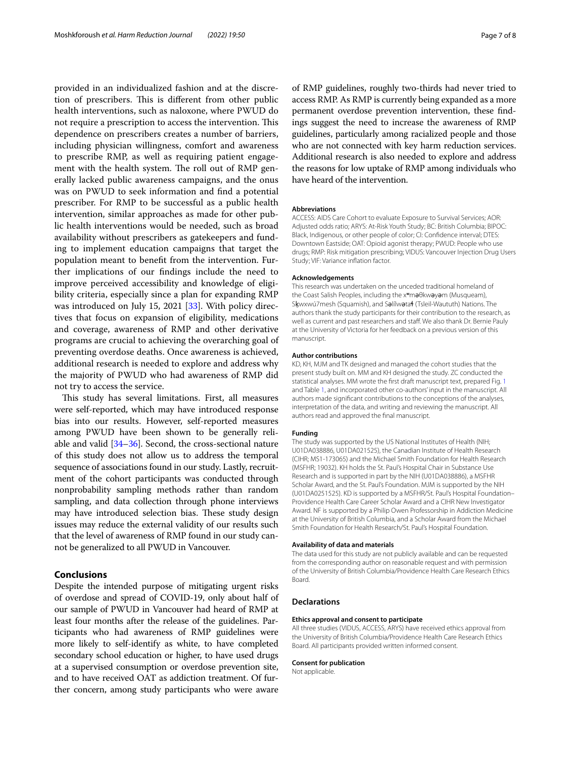provided in an individualized fashion and at the discretion of prescribers. This is different from other public health interventions, such as naloxone, where PWUD do not require a prescription to access the intervention. This dependence on prescribers creates a number of barriers, including physician willingness, comfort and awareness to prescribe RMP, as well as requiring patient engagement with the health system. The roll out of RMP generally lacked public awareness campaigns, and the onus was on PWUD to seek information and fnd a potential prescriber. For RMP to be successful as a public health intervention, similar approaches as made for other public health interventions would be needed, such as broad availability without prescribers as gatekeepers and funding to implement education campaigns that target the population meant to beneft from the intervention. Further implications of our fndings include the need to improve perceived accessibility and knowledge of eligibility criteria, especially since a plan for expanding RMP was introduced on July 15, 2021 [\[33](#page-7-28)]. With policy directives that focus on expansion of eligibility, medications and coverage, awareness of RMP and other derivative programs are crucial to achieving the overarching goal of preventing overdose deaths. Once awareness is achieved, additional research is needed to explore and address why the majority of PWUD who had awareness of RMP did not try to access the service.

This study has several limitations. First, all measures were self-reported, which may have introduced response bias into our results. However, self-reported measures among PWUD have been shown to be generally reliable and valid [[34](#page-7-29)[–36\]](#page-7-30). Second, the cross-sectional nature of this study does not allow us to address the temporal sequence of associations found in our study. Lastly, recruitment of the cohort participants was conducted through nonprobability sampling methods rather than random sampling, and data collection through phone interviews may have introduced selection bias. These study design issues may reduce the external validity of our results such that the level of awareness of RMP found in our study cannot be generalized to all PWUD in Vancouver.

## **Conclusions**

Despite the intended purpose of mitigating urgent risks of overdose and spread of COVID-19, only about half of our sample of PWUD in Vancouver had heard of RMP at least four months after the release of the guidelines. Participants who had awareness of RMP guidelines were more likely to self-identify as white, to have completed secondary school education or higher, to have used drugs at a supervised consumption or overdose prevention site, and to have received OAT as addiction treatment. Of further concern, among study participants who were aware

of RMP guidelines, roughly two-thirds had never tried to access RMP. As RMP is currently being expanded as a more permanent overdose prevention intervention, these fndings suggest the need to increase the awareness of RMP guidelines, particularly among racialized people and those who are not connected with key harm reduction services. Additional research is also needed to explore and address the reasons for low uptake of RMP among individuals who have heard of the intervention.

#### **Abbreviations**

ACCESS: AIDS Care Cohort to evaluate Exposure to Survival Services; AOR: Adjusted odds ratio; ARYS: At-Risk Youth Study; BC: British Columbia; BIPOC: Black, Indigenous, or other people of color; CI: Confdence interval; DTES: Downtown Eastside; OAT: Opioid agonist therapy; PWUD: People who use drugs; RMP: Risk mitigation prescribing; VIDUS: Vancouver Injection Drug Users Study; VIF: Variance infation factor.

#### **Acknowledgements**

This research was undertaken on the unceded traditional homeland of the Coast Salish Peoples, including the x<sup>w</sup>maθkwayam (Musqueam), Skwxwú7mesh (Squamish), and Salílwata (Tsleil-Waututh) Nations. The authors thank the study participants for their contribution to the research, as well as current and past researchers and staf. We also thank Dr. Bernie Pauly at the University of Victoria for her feedback on a previous version of this manuscript.

#### **Author contributions**

KD, KH, MJM and TK designed and managed the cohort studies that the present study built on. MM and KH designed the study. ZC conducted the statistical analyses. MM wrote the frst draft manuscript text, prepared Fig. [1](#page-4-0) and Table [1,](#page-3-0) and incorporated other co-authors' input in the manuscript. All authors made signifcant contributions to the conceptions of the analyses, interpretation of the data, and writing and reviewing the manuscript. All authors read and approved the fnal manuscript.

#### **Funding**

The study was supported by the US National Institutes of Health (NIH; U01DA038886, U01DA021525), the Canadian Institute of Health Research (CIHR; MS1-173065) and the Michael Smith Foundation for Health Research (MSFHR; 19032). KH holds the St. Paul's Hospital Chair in Substance Use Research and is supported in part by the NIH (U01DA038886), a MSFHR Scholar Award, and the St. Paul's Foundation. MJM is supported by the NIH (U01DA0251525). KD is supported by a MSFHR/St. Paul's Hospital Foundation– Providence Health Care Career Scholar Award and a CIHR New Investigator Award. NF is supported by a Philip Owen Professorship in Addiction Medicine at the University of British Columbia, and a Scholar Award from the Michael Smith Foundation for Health Research/St. Paul's Hospital Foundation.

#### **Availability of data and materials**

The data used for this study are not publicly available and can be requested from the corresponding author on reasonable request and with permission of the University of British Columbia/Providence Health Care Research Ethics Board.

#### **Declarations**

#### **Ethics approval and consent to participate**

All three studies (VIDUS, ACCESS, ARYS) have received ethics approval from the University of British Columbia/Providence Health Care Research Ethics Board. All participants provided written informed consent.

#### **Consent for publication**

Not applicable.